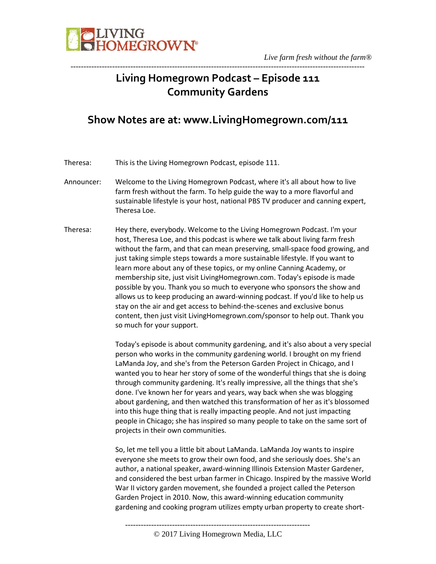

## **Living Homegrown Podcast – Episode 111 Community Gardens**

-----------------------------------------------------------------------------------------------------------------

## **Show Notes are at: www.LivingHomegrown.com/111**

Theresa: This is the Living Homegrown Podcast, episode 111.

- Announcer: Welcome to the Living Homegrown Podcast, where it's all about how to live farm fresh without the farm. To help guide the way to a more flavorful and sustainable lifestyle is your host, national PBS TV producer and canning expert, Theresa Loe.
- Theresa: Hey there, everybody. Welcome to the Living Homegrown Podcast. I'm your host, Theresa Loe, and this podcast is where we talk about living farm fresh without the farm, and that can mean preserving, small-space food growing, and just taking simple steps towards a more sustainable lifestyle. If you want to learn more about any of these topics, or my online Canning Academy, or membership site, just visit LivingHomegrown.com. Today's episode is made possible by you. Thank you so much to everyone who sponsors the show and allows us to keep producing an award-winning podcast. If you'd like to help us stay on the air and get access to behind-the-scenes and exclusive bonus content, then just visit LivingHomegrown.com/sponsor to help out. Thank you so much for your support.

Today's episode is about community gardening, and it's also about a very special person who works in the community gardening world. I brought on my friend LaManda Joy, and she's from the Peterson Garden Project in Chicago, and I wanted you to hear her story of some of the wonderful things that she is doing through community gardening. It's really impressive, all the things that she's done. I've known her for years and years, way back when she was blogging about gardening, and then watched this transformation of her as it's blossomed into this huge thing that is really impacting people. And not just impacting people in Chicago; she has inspired so many people to take on the same sort of projects in their own communities.

So, let me tell you a little bit about LaManda. LaManda Joy wants to inspire everyone she meets to grow their own food, and she seriously does. She's an author, a national speaker, award-winning Illinois Extension Master Gardener, and considered the best urban farmer in Chicago. Inspired by the massive World War II victory garden movement, she founded a project called the Peterson Garden Project in 2010. Now, this award-winning education community gardening and cooking program utilizes empty urban property to create short-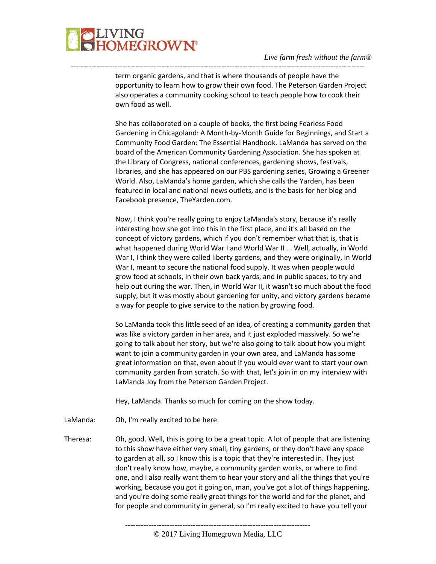## **JVING<br>HOMEGROWN®**

## *Live farm fresh without the farm®*

term organic gardens, and that is where thousands of people have the opportunity to learn how to grow their own food. The Peterson Garden Project also operates a community cooking school to teach people how to cook their own food as well.

-----------------------------------------------------------------------------------------------------------------

She has collaborated on a couple of books, the first being Fearless Food Gardening in Chicagoland: A Month-by-Month Guide for Beginnings, and Start a Community Food Garden: The Essential Handbook. LaManda has served on the board of the American Community Gardening Association. She has spoken at the Library of Congress, national conferences, gardening shows, festivals, libraries, and she has appeared on our PBS gardening series, Growing a Greener World. Also, LaManda's home garden, which she calls the Yarden, has been featured in local and national news outlets, and is the basis for her blog and Facebook presence, TheYarden.com.

Now, I think you're really going to enjoy LaManda's story, because it's really interesting how she got into this in the first place, and it's all based on the concept of victory gardens, which if you don't remember what that is, that is what happened during World War I and World War II ... Well, actually, in World War I, I think they were called liberty gardens, and they were originally, in World War I, meant to secure the national food supply. It was when people would grow food at schools, in their own back yards, and in public spaces, to try and help out during the war. Then, in World War II, it wasn't so much about the food supply, but it was mostly about gardening for unity, and victory gardens became a way for people to give service to the nation by growing food.

So LaManda took this little seed of an idea, of creating a community garden that was like a victory garden in her area, and it just exploded massively. So we're going to talk about her story, but we're also going to talk about how you might want to join a community garden in your own area, and LaManda has some great information on that, even about if you would ever want to start your own community garden from scratch. So with that, let's join in on my interview with LaManda Joy from the Peterson Garden Project.

Hey, LaManda. Thanks so much for coming on the show today.

LaManda: Oh, I'm really excited to be here.

Theresa: Oh, good. Well, this is going to be a great topic. A lot of people that are listening to this show have either very small, tiny gardens, or they don't have any space to garden at all, so I know this is a topic that they're interested in. They just don't really know how, maybe, a community garden works, or where to find one, and I also really want them to hear your story and all the things that you're working, because you got it going on, man, you've got a lot of things happening, and you're doing some really great things for the world and for the planet, and for people and community in general, so I'm really excited to have you tell your

<sup>-----------------------------------------------------------------------</sup> © 2017 Living Homegrown Media, LLC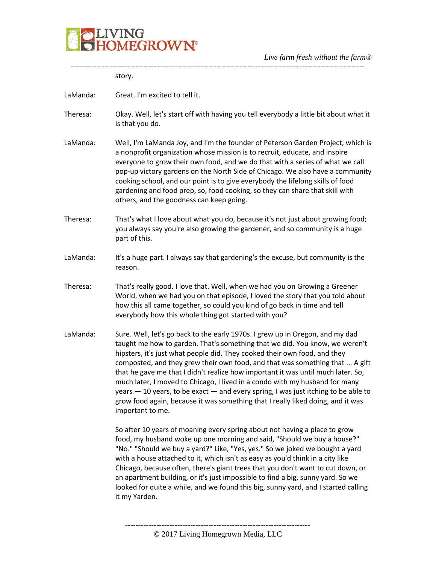

|          | story.                                                                                                                                                                                                                                                                                                                                                                                                                                                                                                                                                                                                                                                                                    |
|----------|-------------------------------------------------------------------------------------------------------------------------------------------------------------------------------------------------------------------------------------------------------------------------------------------------------------------------------------------------------------------------------------------------------------------------------------------------------------------------------------------------------------------------------------------------------------------------------------------------------------------------------------------------------------------------------------------|
| LaManda: | Great. I'm excited to tell it.                                                                                                                                                                                                                                                                                                                                                                                                                                                                                                                                                                                                                                                            |
| Theresa: | Okay. Well, let's start off with having you tell everybody a little bit about what it<br>is that you do.                                                                                                                                                                                                                                                                                                                                                                                                                                                                                                                                                                                  |
| LaManda: | Well, I'm LaManda Joy, and I'm the founder of Peterson Garden Project, which is<br>a nonprofit organization whose mission is to recruit, educate, and inspire<br>everyone to grow their own food, and we do that with a series of what we call<br>pop-up victory gardens on the North Side of Chicago. We also have a community<br>cooking school, and our point is to give everybody the lifelong skills of food<br>gardening and food prep, so, food cooking, so they can share that skill with<br>others, and the goodness can keep going.                                                                                                                                             |
| Theresa: | That's what I love about what you do, because it's not just about growing food;<br>you always say you're also growing the gardener, and so community is a huge<br>part of this.                                                                                                                                                                                                                                                                                                                                                                                                                                                                                                           |
| LaManda: | It's a huge part. I always say that gardening's the excuse, but community is the<br>reason.                                                                                                                                                                                                                                                                                                                                                                                                                                                                                                                                                                                               |
| Theresa: | That's really good. I love that. Well, when we had you on Growing a Greener<br>World, when we had you on that episode, I loved the story that you told about<br>how this all came together, so could you kind of go back in time and tell<br>everybody how this whole thing got started with you?                                                                                                                                                                                                                                                                                                                                                                                         |
| LaManda: | Sure. Well, let's go back to the early 1970s. I grew up in Oregon, and my dad<br>taught me how to garden. That's something that we did. You know, we weren't<br>hipsters, it's just what people did. They cooked their own food, and they<br>composted, and they grew their own food, and that was something that  A gift<br>that he gave me that I didn't realize how important it was until much later. So,<br>much later, I moved to Chicago, I lived in a condo with my husband for many<br>years - 10 years, to be exact - and every spring, I was just itching to be able to<br>grow food again, because it was something that I really liked doing, and it was<br>important to me. |
|          | So after 10 years of moaning every spring about not having a place to grow<br>food, my husband woke up one morning and said, "Should we buy a house?"<br>"No." "Should we buy a yard?" Like, "Yes, yes." So we joked we bought a yard<br>with a house attached to it, which isn't as easy as you'd think in a city like<br>Chicago, because often, there's giant trees that you don't want to cut down, or<br>an apartment building, or it's just impossible to find a big, sunny yard. So we<br>looked for quite a while, and we found this big, sunny yard, and I started calling<br>it my Yarden.                                                                                      |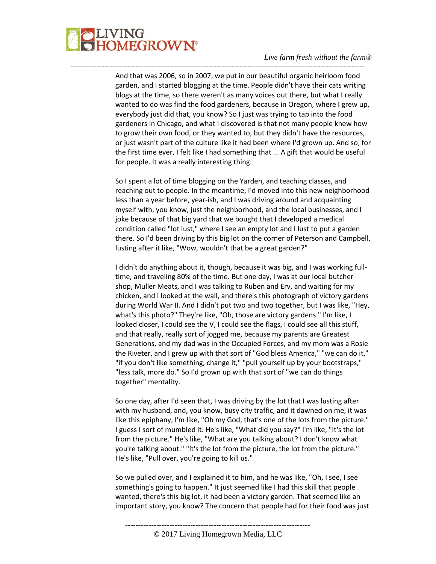

And that was 2006, so in 2007, we put in our beautiful organic heirloom food garden, and I started blogging at the time. People didn't have their cats writing blogs at the time, so there weren't as many voices out there, but what I really wanted to do was find the food gardeners, because in Oregon, where I grew up, everybody just did that, you know? So I just was trying to tap into the food gardeners in Chicago, and what I discovered is that not many people knew how to grow their own food, or they wanted to, but they didn't have the resources, or just wasn't part of the culture like it had been where I'd grown up. And so, for the first time ever, I felt like I had something that ... A gift that would be useful for people. It was a really interesting thing.

-----------------------------------------------------------------------------------------------------------------

So I spent a lot of time blogging on the Yarden, and teaching classes, and reaching out to people. In the meantime, I'd moved into this new neighborhood less than a year before, year-ish, and I was driving around and acquainting myself with, you know, just the neighborhood, and the local businesses, and I joke because of that big yard that we bought that I developed a medical condition called "lot lust," where I see an empty lot and I lust to put a garden there. So I'd been driving by this big lot on the corner of Peterson and Campbell, lusting after it like, "Wow, wouldn't that be a great garden?"

I didn't do anything about it, though, because it was big, and I was working fulltime, and traveling 80% of the time. But one day, I was at our local butcher shop, Muller Meats, and I was talking to Ruben and Erv, and waiting for my chicken, and I looked at the wall, and there's this photograph of victory gardens during World War II. And I didn't put two and two together, but I was like, "Hey, what's this photo?" They're like, "Oh, those are victory gardens." I'm like, I looked closer, I could see the V, I could see the flags, I could see all this stuff, and that really, really sort of jogged me, because my parents are Greatest Generations, and my dad was in the Occupied Forces, and my mom was a Rosie the Riveter, and I grew up with that sort of "God bless America," "we can do it," "if you don't like something, change it," "pull yourself up by your bootstraps," "less talk, more do." So I'd grown up with that sort of "we can do things together" mentality.

So one day, after I'd seen that, I was driving by the lot that I was lusting after with my husband, and, you know, busy city traffic, and it dawned on me, it was like this epiphany, I'm like, "Oh my God, that's one of the lots from the picture." I guess I sort of mumbled it. He's like, "What did you say?" I'm like, "It's the lot from the picture." He's like, "What are you talking about? I don't know what you're talking about." "It's the lot from the picture, the lot from the picture." He's like, "Pull over, you're going to kill us."

So we pulled over, and I explained it to him, and he was like, "Oh, I see, I see something's going to happen." It just seemed like I had this skill that people wanted, there's this big lot, it had been a victory garden. That seemed like an important story, you know? The concern that people had for their food was just

-----------------------------------------------------------------------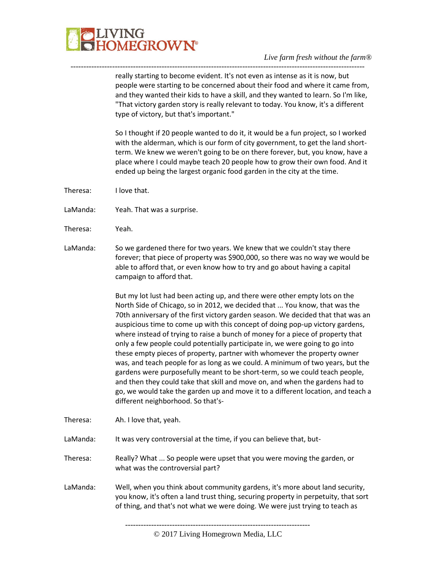

really starting to become evident. It's not even as intense as it is now, but people were starting to be concerned about their food and where it came from, and they wanted their kids to have a skill, and they wanted to learn. So I'm like, "That victory garden story is really relevant to today. You know, it's a different type of victory, but that's important."

-----------------------------------------------------------------------------------------------------------------

So I thought if 20 people wanted to do it, it would be a fun project, so I worked with the alderman, which is our form of city government, to get the land shortterm. We knew we weren't going to be on there forever, but, you know, have a place where I could maybe teach 20 people how to grow their own food. And it ended up being the largest organic food garden in the city at the time.

- Theresa: I love that.
- LaManda: Yeah. That was a surprise.
- Theresa: Yeah.
- LaManda: So we gardened there for two years. We knew that we couldn't stay there forever; that piece of property was \$900,000, so there was no way we would be able to afford that, or even know how to try and go about having a capital campaign to afford that.

But my lot lust had been acting up, and there were other empty lots on the North Side of Chicago, so in 2012, we decided that ... You know, that was the 70th anniversary of the first victory garden season. We decided that that was an auspicious time to come up with this concept of doing pop-up victory gardens, where instead of trying to raise a bunch of money for a piece of property that only a few people could potentially participate in, we were going to go into these empty pieces of property, partner with whomever the property owner was, and teach people for as long as we could. A minimum of two years, but the gardens were purposefully meant to be short-term, so we could teach people, and then they could take that skill and move on, and when the gardens had to go, we would take the garden up and move it to a different location, and teach a different neighborhood. So that's-

Theresa: Ah. I love that, yeah.

LaManda: It was very controversial at the time, if you can believe that, but-

- Theresa: Really? What ... So people were upset that you were moving the garden, or what was the controversial part?
- LaManda: Well, when you think about community gardens, it's more about land security, you know, it's often a land trust thing, securing property in perpetuity, that sort of thing, and that's not what we were doing. We were just trying to teach as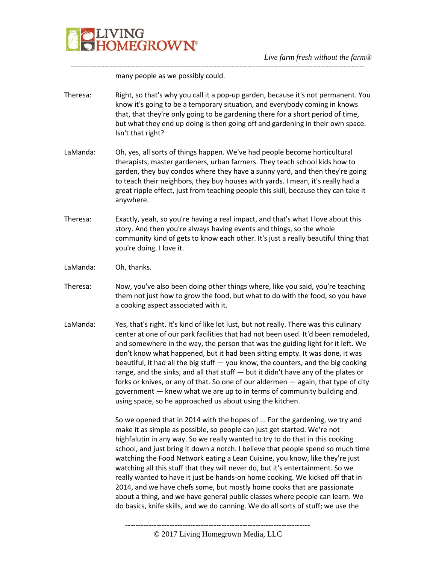

many people as we possibly could.

Theresa: Right, so that's why you call it a pop-up garden, because it's not permanent. You know it's going to be a temporary situation, and everybody coming in knows that, that they're only going to be gardening there for a short period of time, but what they end up doing is then going off and gardening in their own space. Isn't that right?

-----------------------------------------------------------------------------------------------------------------

LaManda: Oh, yes, all sorts of things happen. We've had people become horticultural therapists, master gardeners, urban farmers. They teach school kids how to garden, they buy condos where they have a sunny yard, and then they're going to teach their neighbors, they buy houses with yards. I mean, it's really had a great ripple effect, just from teaching people this skill, because they can take it anywhere.

- Theresa: Exactly, yeah, so you're having a real impact, and that's what I love about this story. And then you're always having events and things, so the whole community kind of gets to know each other. It's just a really beautiful thing that you're doing. I love it.
- LaManda: Oh, thanks.
- Theresa: Now, you've also been doing other things where, like you said, you're teaching them not just how to grow the food, but what to do with the food, so you have a cooking aspect associated with it.
- LaManda: Yes, that's right. It's kind of like lot lust, but not really. There was this culinary center at one of our park facilities that had not been used. It'd been remodeled, and somewhere in the way, the person that was the guiding light for it left. We don't know what happened, but it had been sitting empty. It was done, it was beautiful, it had all the big stuff — you know, the counters, and the big cooking range, and the sinks, and all that stuff — but it didn't have any of the plates or forks or knives, or any of that. So one of our aldermen — again, that type of city government — knew what we are up to in terms of community building and using space, so he approached us about using the kitchen.

So we opened that in 2014 with the hopes of ... For the gardening, we try and make it as simple as possible, so people can just get started. We're not highfalutin in any way. So we really wanted to try to do that in this cooking school, and just bring it down a notch. I believe that people spend so much time watching the Food Network eating a Lean Cuisine, you know, like they're just watching all this stuff that they will never do, but it's entertainment. So we really wanted to have it just be hands-on home cooking. We kicked off that in 2014, and we have chefs some, but mostly home cooks that are passionate about a thing, and we have general public classes where people can learn. We do basics, knife skills, and we do canning. We do all sorts of stuff; we use the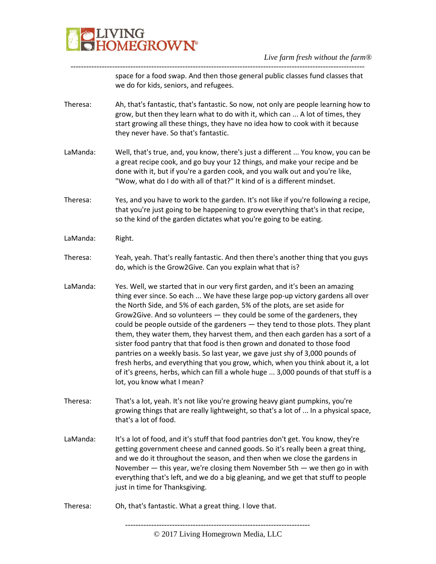

space for a food swap. And then those general public classes fund classes that we do for kids, seniors, and refugees.

Theresa: Ah, that's fantastic, that's fantastic. So now, not only are people learning how to grow, but then they learn what to do with it, which can ... A lot of times, they start growing all these things, they have no idea how to cook with it because they never have. So that's fantastic.

-----------------------------------------------------------------------------------------------------------------

- LaManda: Well, that's true, and, you know, there's just a different ... You know, you can be a great recipe cook, and go buy your 12 things, and make your recipe and be done with it, but if you're a garden cook, and you walk out and you're like, "Wow, what do I do with all of that?" It kind of is a different mindset.
- Theresa: Yes, and you have to work to the garden. It's not like if you're following a recipe, that you're just going to be happening to grow everything that's in that recipe, so the kind of the garden dictates what you're going to be eating.
- LaManda: Right.
- Theresa: Yeah, yeah. That's really fantastic. And then there's another thing that you guys do, which is the Grow2Give. Can you explain what that is?
- LaManda: Yes. Well, we started that in our very first garden, and it's been an amazing thing ever since. So each ... We have these large pop-up victory gardens all over the North Side, and 5% of each garden, 5% of the plots, are set aside for Grow2Give. And so volunteers — they could be some of the gardeners, they could be people outside of the gardeners — they tend to those plots. They plant them, they water them, they harvest them, and then each garden has a sort of a sister food pantry that that food is then grown and donated to those food pantries on a weekly basis. So last year, we gave just shy of 3,000 pounds of fresh herbs, and everything that you grow, which, when you think about it, a lot of it's greens, herbs, which can fill a whole huge ... 3,000 pounds of that stuff is a lot, you know what I mean?
- Theresa: That's a lot, yeah. It's not like you're growing heavy giant pumpkins, you're growing things that are really lightweight, so that's a lot of ... In a physical space, that's a lot of food.
- LaManda: It's a lot of food, and it's stuff that food pantries don't get. You know, they're getting government cheese and canned goods. So it's really been a great thing, and we do it throughout the season, and then when we close the gardens in November — this year, we're closing them November 5th — we then go in with everything that's left, and we do a big gleaning, and we get that stuff to people just in time for Thanksgiving.
- Theresa: Oh, that's fantastic. What a great thing. I love that.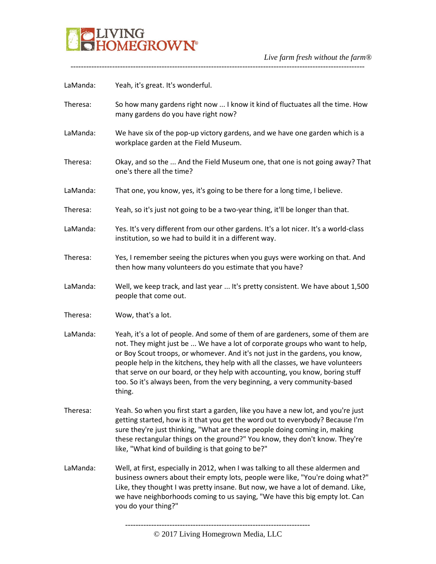

-----------------------------------------------------------------------------------------------------------------

| LaManda: | Yeah, it's great. It's wonderful.                                                                                                                                                                                                                                                                                                                                                                                                                                                                           |
|----------|-------------------------------------------------------------------------------------------------------------------------------------------------------------------------------------------------------------------------------------------------------------------------------------------------------------------------------------------------------------------------------------------------------------------------------------------------------------------------------------------------------------|
| Theresa: | So how many gardens right now  I know it kind of fluctuates all the time. How<br>many gardens do you have right now?                                                                                                                                                                                                                                                                                                                                                                                        |
| LaManda: | We have six of the pop-up victory gardens, and we have one garden which is a<br>workplace garden at the Field Museum.                                                                                                                                                                                                                                                                                                                                                                                       |
| Theresa: | Okay, and so the  And the Field Museum one, that one is not going away? That<br>one's there all the time?                                                                                                                                                                                                                                                                                                                                                                                                   |
| LaManda: | That one, you know, yes, it's going to be there for a long time, I believe.                                                                                                                                                                                                                                                                                                                                                                                                                                 |
| Theresa: | Yeah, so it's just not going to be a two-year thing, it'll be longer than that.                                                                                                                                                                                                                                                                                                                                                                                                                             |
| LaManda: | Yes. It's very different from our other gardens. It's a lot nicer. It's a world-class<br>institution, so we had to build it in a different way.                                                                                                                                                                                                                                                                                                                                                             |
| Theresa: | Yes, I remember seeing the pictures when you guys were working on that. And<br>then how many volunteers do you estimate that you have?                                                                                                                                                                                                                                                                                                                                                                      |
| LaManda: | Well, we keep track, and last year  It's pretty consistent. We have about 1,500<br>people that come out.                                                                                                                                                                                                                                                                                                                                                                                                    |
| Theresa: | Wow, that's a lot.                                                                                                                                                                                                                                                                                                                                                                                                                                                                                          |
| LaManda: | Yeah, it's a lot of people. And some of them of are gardeners, some of them are<br>not. They might just be  We have a lot of corporate groups who want to help,<br>or Boy Scout troops, or whomever. And it's not just in the gardens, you know,<br>people help in the kitchens, they help with all the classes, we have volunteers<br>that serve on our board, or they help with accounting, you know, boring stuff<br>too. So it's always been, from the very beginning, a very community-based<br>thing. |
| Theresa: | Yeah. So when you first start a garden, like you have a new lot, and you're just<br>getting started, how is it that you get the word out to everybody? Because I'm<br>sure they're just thinking, "What are these people doing coming in, making<br>these rectangular things on the ground?" You know, they don't know. They're<br>like, "What kind of building is that going to be?"                                                                                                                       |
| LaManda: | Well, at first, especially in 2012, when I was talking to all these aldermen and<br>business owners about their empty lots, people were like, "You're doing what?"<br>Like, they thought I was pretty insane. But now, we have a lot of demand. Like,<br>we have neighborhoods coming to us saying, "We have this big empty lot. Can<br>you do your thing?"                                                                                                                                                 |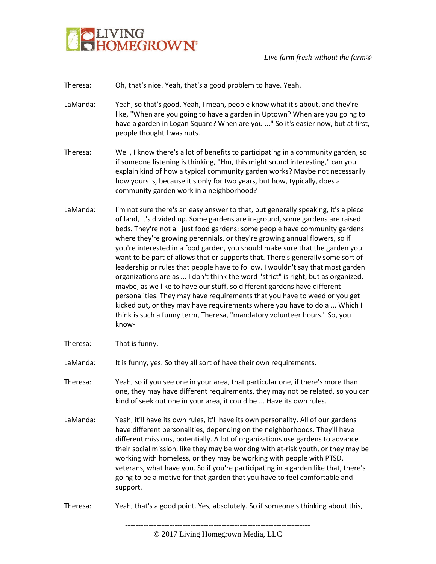

Theresa: Oh, that's nice. Yeah, that's a good problem to have. Yeah.

LaManda: Yeah, so that's good. Yeah, I mean, people know what it's about, and they're like, "When are you going to have a garden in Uptown? When are you going to have a garden in Logan Square? When are you ..." So it's easier now, but at first, people thought I was nuts.

-----------------------------------------------------------------------------------------------------------------

- Theresa: Well, I know there's a lot of benefits to participating in a community garden, so if someone listening is thinking, "Hm, this might sound interesting," can you explain kind of how a typical community garden works? Maybe not necessarily how yours is, because it's only for two years, but how, typically, does a community garden work in a neighborhood?
- LaManda: I'm not sure there's an easy answer to that, but generally speaking, it's a piece of land, it's divided up. Some gardens are in-ground, some gardens are raised beds. They're not all just food gardens; some people have community gardens where they're growing perennials, or they're growing annual flowers, so if you're interested in a food garden, you should make sure that the garden you want to be part of allows that or supports that. There's generally some sort of leadership or rules that people have to follow. I wouldn't say that most garden organizations are as ... I don't think the word "strict" is right, but as organized, maybe, as we like to have our stuff, so different gardens have different personalities. They may have requirements that you have to weed or you get kicked out, or they may have requirements where you have to do a ... Which I think is such a funny term, Theresa, "mandatory volunteer hours." So, you know-
- Theresa: That is funny.

LaManda: It is funny, yes. So they all sort of have their own requirements.

- Theresa: Yeah, so if you see one in your area, that particular one, if there's more than one, they may have different requirements, they may not be related, so you can kind of seek out one in your area, it could be ... Have its own rules.
- LaManda: Yeah, it'll have its own rules, it'll have its own personality. All of our gardens have different personalities, depending on the neighborhoods. They'll have different missions, potentially. A lot of organizations use gardens to advance their social mission, like they may be working with at-risk youth, or they may be working with homeless, or they may be working with people with PTSD, veterans, what have you. So if you're participating in a garden like that, there's going to be a motive for that garden that you have to feel comfortable and support.
- Theresa: Yeah, that's a good point. Yes, absolutely. So if someone's thinking about this,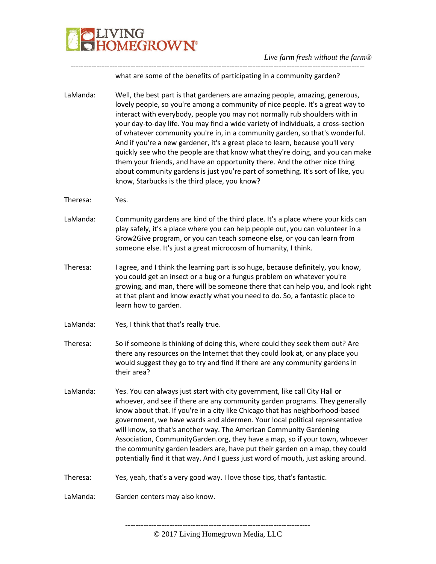

what are some of the benefits of participating in a community garden?

-----------------------------------------------------------------------------------------------------------------

LaManda: Well, the best part is that gardeners are amazing people, amazing, generous, lovely people, so you're among a community of nice people. It's a great way to interact with everybody, people you may not normally rub shoulders with in your day-to-day life. You may find a wide variety of individuals, a cross-section of whatever community you're in, in a community garden, so that's wonderful. And if you're a new gardener, it's a great place to learn, because you'll very quickly see who the people are that know what they're doing, and you can make them your friends, and have an opportunity there. And the other nice thing about community gardens is just you're part of something. It's sort of like, you know, Starbucks is the third place, you know?

- Theresa: Yes.
- LaManda: Community gardens are kind of the third place. It's a place where your kids can play safely, it's a place where you can help people out, you can volunteer in a Grow2Give program, or you can teach someone else, or you can learn from someone else. It's just a great microcosm of humanity, I think.
- Theresa: I agree, and I think the learning part is so huge, because definitely, you know, you could get an insect or a bug or a fungus problem on whatever you're growing, and man, there will be someone there that can help you, and look right at that plant and know exactly what you need to do. So, a fantastic place to learn how to garden.
- LaManda: Yes, I think that that's really true.
- Theresa: So if someone is thinking of doing this, where could they seek them out? Are there any resources on the Internet that they could look at, or any place you would suggest they go to try and find if there are any community gardens in their area?
- LaManda: Yes. You can always just start with city government, like call City Hall or whoever, and see if there are any community garden programs. They generally know about that. If you're in a city like Chicago that has neighborhood-based government, we have wards and aldermen. Your local political representative will know, so that's another way. The American Community Gardening Association, CommunityGarden.org, they have a map, so if your town, whoever the community garden leaders are, have put their garden on a map, they could potentially find it that way. And I guess just word of mouth, just asking around.
- Theresa: Yes, yeah, that's a very good way. I love those tips, that's fantastic.

LaManda: Garden centers may also know.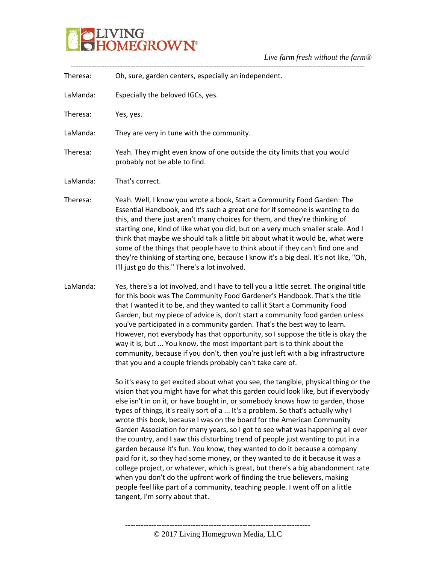

|          | $E$ and $E$ and $E$ and $E$ and $E$ and $E$                                                                                                                                                                                                                                                                                                                                                                                                                                                                                                                                                                                                                                                                                                                                                                                                                                                                                                                                                                                                    |
|----------|------------------------------------------------------------------------------------------------------------------------------------------------------------------------------------------------------------------------------------------------------------------------------------------------------------------------------------------------------------------------------------------------------------------------------------------------------------------------------------------------------------------------------------------------------------------------------------------------------------------------------------------------------------------------------------------------------------------------------------------------------------------------------------------------------------------------------------------------------------------------------------------------------------------------------------------------------------------------------------------------------------------------------------------------|
| Theresa: | Oh, sure, garden centers, especially an independent.                                                                                                                                                                                                                                                                                                                                                                                                                                                                                                                                                                                                                                                                                                                                                                                                                                                                                                                                                                                           |
| LaManda: | Especially the beloved IGCs, yes.                                                                                                                                                                                                                                                                                                                                                                                                                                                                                                                                                                                                                                                                                                                                                                                                                                                                                                                                                                                                              |
| Theresa: | Yes, yes.                                                                                                                                                                                                                                                                                                                                                                                                                                                                                                                                                                                                                                                                                                                                                                                                                                                                                                                                                                                                                                      |
| LaManda: | They are very in tune with the community.                                                                                                                                                                                                                                                                                                                                                                                                                                                                                                                                                                                                                                                                                                                                                                                                                                                                                                                                                                                                      |
| Theresa: | Yeah. They might even know of one outside the city limits that you would<br>probably not be able to find.                                                                                                                                                                                                                                                                                                                                                                                                                                                                                                                                                                                                                                                                                                                                                                                                                                                                                                                                      |
| LaManda: | That's correct.                                                                                                                                                                                                                                                                                                                                                                                                                                                                                                                                                                                                                                                                                                                                                                                                                                                                                                                                                                                                                                |
| Theresa: | Yeah. Well, I know you wrote a book, Start a Community Food Garden: The<br>Essential Handbook, and it's such a great one for if someone is wanting to do<br>this, and there just aren't many choices for them, and they're thinking of<br>starting one, kind of like what you did, but on a very much smaller scale. And I<br>think that maybe we should talk a little bit about what it would be, what were<br>some of the things that people have to think about if they can't find one and<br>they're thinking of starting one, because I know it's a big deal. It's not like, "Oh,<br>I'll just go do this." There's a lot involved.                                                                                                                                                                                                                                                                                                                                                                                                       |
| LaManda: | Yes, there's a lot involved, and I have to tell you a little secret. The original title<br>for this book was The Community Food Gardener's Handbook. That's the title<br>that I wanted it to be, and they wanted to call it Start a Community Food<br>Garden, but my piece of advice is, don't start a community food garden unless<br>you've participated in a community garden. That's the best way to learn.<br>However, not everybody has that opportunity, so I suppose the title is okay the<br>way it is, but  You know, the most important part is to think about the<br>community, because if you don't, then you're just left with a big infrastructure<br>that you and a couple friends probably can't take care of.                                                                                                                                                                                                                                                                                                                |
|          | So it's easy to get excited about what you see, the tangible, physical thing or the<br>vision that you might have for what this garden could look like, but if everybody<br>else isn't in on it, or have bought in, or somebody knows how to garden, those<br>types of things, it's really sort of a  It's a problem. So that's actually why I<br>wrote this book, because I was on the board for the American Community<br>Garden Association for many years, so I got to see what was happening all over<br>the country, and I saw this disturbing trend of people just wanting to put in a<br>garden because it's fun. You know, they wanted to do it because a company<br>paid for it, so they had some money, or they wanted to do it because it was a<br>college project, or whatever, which is great, but there's a big abandonment rate<br>when you don't do the upfront work of finding the true believers, making<br>people feel like part of a community, teaching people. I went off on a little<br>tangent, I'm sorry about that. |

----------------------------------------------------------------------- © 2017 Living Homegrown Media, LLC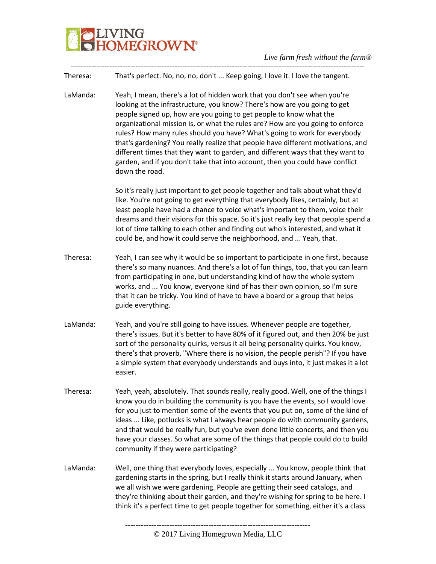

Theresa: That's perfect. No, no, no, don't ... Keep going, I love it. I love the tangent.

-----------------------------------------------------------------------------------------------------------------

LaManda: Yeah, I mean, there's a lot of hidden work that you don't see when you're looking at the infrastructure, you know? There's how are you going to get people signed up, how are you going to get people to know what the organizational mission is, or what the rules are? How are you going to enforce rules? How many rules should you have? What's going to work for everybody that's gardening? You really realize that people have different motivations, and different times that they want to garden, and different ways that they want to garden, and if you don't take that into account, then you could have conflict down the road.

> So it's really just important to get people together and talk about what they'd like. You're not going to get everything that everybody likes, certainly, but at least people have had a chance to voice what's important to them, voice their dreams and their visions for this space. So it's just really key that people spend a lot of time talking to each other and finding out who's interested, and what it could be, and how it could serve the neighborhood, and ... Yeah, that.

- Theresa: Yeah, I can see why it would be so important to participate in one first, because there's so many nuances. And there's a lot of fun things, too, that you can learn from participating in one, but understanding kind of how the whole system works, and ... You know, everyone kind of has their own opinion, so I'm sure that it can be tricky. You kind of have to have a board or a group that helps guide everything.
- LaManda: Yeah, and you're still going to have issues. Whenever people are together, there's issues. But it's better to have 80% of it figured out, and then 20% be just sort of the personality quirks, versus it all being personality quirks. You know, there's that proverb, "Where there is no vision, the people perish"? If you have a simple system that everybody understands and buys into, it just makes it a lot easier.
- Theresa: Yeah, yeah, absolutely. That sounds really, really good. Well, one of the things I know you do in building the community is you have the events, so I would love for you just to mention some of the events that you put on, some of the kind of ideas ... Like, potlucks is what I always hear people do with community gardens, and that would be really fun, but you've even done little concerts, and then you have your classes. So what are some of the things that people could do to build community if they were participating?
- LaManda: Well, one thing that everybody loves, especially ... You know, people think that gardening starts in the spring, but I really think it starts around January, when we all wish we were gardening. People are getting their seed catalogs, and they're thinking about their garden, and they're wishing for spring to be here. I think it's a perfect time to get people together for something, either it's a class

<sup>-----------------------------------------------------------------------</sup>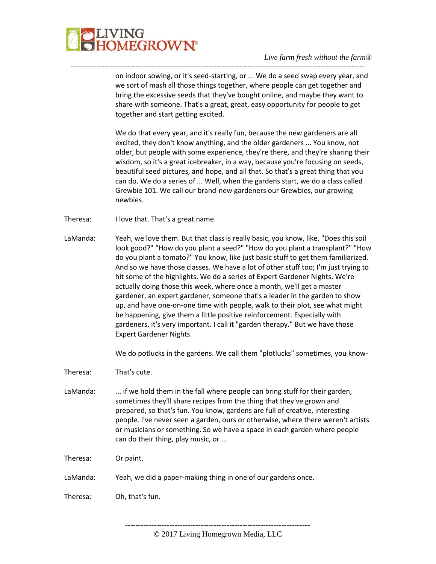

on indoor sowing, or it's seed-starting, or ... We do a seed swap every year, and we sort of mash all those things together, where people can get together and bring the excessive seeds that they've bought online, and maybe they want to share with someone. That's a great, great, easy opportunity for people to get together and start getting excited.

-----------------------------------------------------------------------------------------------------------------

We do that every year, and it's really fun, because the new gardeners are all excited, they don't know anything, and the older gardeners ... You know, not older, but people with some experience, they're there, and they're sharing their wisdom, so it's a great icebreaker, in a way, because you're focusing on seeds, beautiful seed pictures, and hope, and all that. So that's a great thing that you can do. We do a series of ... Well, when the gardens start, we do a class called Grewbie 101. We call our brand-new gardeners our Grewbies, our growing newbies.

- Theresa: I love that. That's a great name.
- LaManda: Yeah, we love them. But that class is really basic, you know, like, "Does this soil look good?" "How do you plant a seed?" "How do you plant a transplant?" "How do you plant a tomato?" You know, like just basic stuff to get them familiarized. And so we have those classes. We have a lot of other stuff too; I'm just trying to hit some of the highlights. We do a series of Expert Gardener Nights. We're actually doing those this week, where once a month, we'll get a master gardener, an expert gardener, someone that's a leader in the garden to show up, and have one-on-one time with people, walk to their plot, see what might be happening, give them a little positive reinforcement. Especially with gardeners, it's very important. I call it "garden therapy." But we have those Expert Gardener Nights.

We do potlucks in the gardens. We call them "plotlucks" sometimes, you know-

Theresa: That's cute.

LaManda: ... if we hold them in the fall where people can bring stuff for their garden, sometimes they'll share recipes from the thing that they've grown and prepared, so that's fun. You know, gardens are full of creative, interesting people. I've never seen a garden, ours or otherwise, where there weren't artists or musicians or something. So we have a space in each garden where people can do their thing, play music, or ...

Theresa: Or paint.

LaManda: Yeah, we did a paper-making thing in one of our gardens once.

Theresa: Oh, that's fun.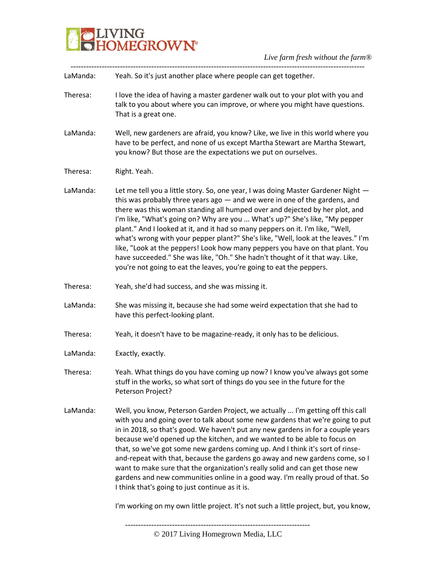

| LaManda: | Yeah. So it's just another place where people can get together.                                                                                                                                                                                                                                                                                                                                                                                                                                                                                                                                                                                                                                                                                |
|----------|------------------------------------------------------------------------------------------------------------------------------------------------------------------------------------------------------------------------------------------------------------------------------------------------------------------------------------------------------------------------------------------------------------------------------------------------------------------------------------------------------------------------------------------------------------------------------------------------------------------------------------------------------------------------------------------------------------------------------------------------|
| Theresa: | I love the idea of having a master gardener walk out to your plot with you and<br>talk to you about where you can improve, or where you might have questions.<br>That is a great one.                                                                                                                                                                                                                                                                                                                                                                                                                                                                                                                                                          |
| LaManda: | Well, new gardeners are afraid, you know? Like, we live in this world where you<br>have to be perfect, and none of us except Martha Stewart are Martha Stewart,<br>you know? But those are the expectations we put on ourselves.                                                                                                                                                                                                                                                                                                                                                                                                                                                                                                               |
| Theresa: | Right. Yeah.                                                                                                                                                                                                                                                                                                                                                                                                                                                                                                                                                                                                                                                                                                                                   |
| LaManda: | Let me tell you a little story. So, one year, I was doing Master Gardener Night -<br>this was probably three years ago - and we were in one of the gardens, and<br>there was this woman standing all humped over and dejected by her plot, and<br>I'm like, "What's going on? Why are you  What's up?" She's like, "My pepper<br>plant." And I looked at it, and it had so many peppers on it. I'm like, "Well,<br>what's wrong with your pepper plant?" She's like, "Well, look at the leaves." I'm<br>like, "Look at the peppers! Look how many peppers you have on that plant. You<br>have succeeded." She was like, "Oh." She hadn't thought of it that way. Like,<br>you're not going to eat the leaves, you're going to eat the peppers. |
| Theresa: | Yeah, she'd had success, and she was missing it.                                                                                                                                                                                                                                                                                                                                                                                                                                                                                                                                                                                                                                                                                               |
| LaManda: | She was missing it, because she had some weird expectation that she had to<br>have this perfect-looking plant.                                                                                                                                                                                                                                                                                                                                                                                                                                                                                                                                                                                                                                 |
| Theresa: | Yeah, it doesn't have to be magazine-ready, it only has to be delicious.                                                                                                                                                                                                                                                                                                                                                                                                                                                                                                                                                                                                                                                                       |
| LaManda: | Exactly, exactly.                                                                                                                                                                                                                                                                                                                                                                                                                                                                                                                                                                                                                                                                                                                              |
| Theresa: | Yeah. What things do you have coming up now? I know you've always got some<br>stuff in the works, so what sort of things do you see in the future for the<br>Peterson Project?                                                                                                                                                                                                                                                                                                                                                                                                                                                                                                                                                                 |
| LaManda: | Well, you know, Peterson Garden Project, we actually  I'm getting off this call<br>with you and going over to talk about some new gardens that we're going to put<br>in in 2018, so that's good. We haven't put any new gardens in for a couple years<br>because we'd opened up the kitchen, and we wanted to be able to focus on<br>that, so we've got some new gardens coming up. And I think it's sort of rinse-<br>and-repeat with that, because the gardens go away and new gardens come, so I<br>want to make sure that the organization's really solid and can get those new<br>gardens and new communities online in a good way. I'm really proud of that. So<br>I think that's going to just continue as it is.                       |
|          | I'm working on my own little project. It's not such a little project, but, you know,                                                                                                                                                                                                                                                                                                                                                                                                                                                                                                                                                                                                                                                           |